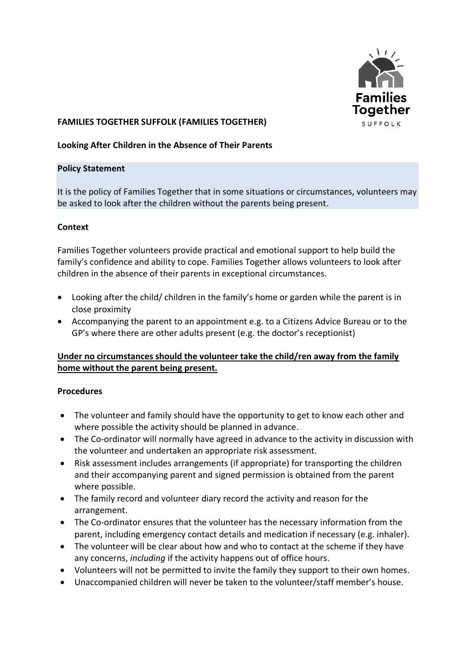

# **FAMILIES TOGETHER SUFFOLK (FAMILIES TOGETHER)**

### **Looking After Children in the Absence of Their Parents**

#### **Policy Statement**

It is the policy of Families Together that in some situations or circumstances, volunteers may be asked to look after the children without the parents being present.

### **Context**

Families Together volunteers provide practical and emotional support to help build the family's confidence and ability to cope. Families Together allows volunteers to look after children in the absence of their parents in exceptional circumstances.

- Looking after the child/ children in the family's home or garden while the parent is in close proximity
- Accompanying the parent to an appointment e.g. to a Citizens Advice Bureau or to the GP's where there are other adults present (e.g. the doctor's receptionist)

## **Under no circumstances should the volunteer take the child/ren away from the family home without the parent being present.**

## **Procedures**

- The volunteer and family should have the opportunity to get to know each other and where possible the activity should be planned in advance.
- The Co-ordinator will normally have agreed in advance to the activity in discussion with the volunteer and undertaken an appropriate risk assessment.
- Risk assessment includes arrangements (if appropriate) for transporting the children and their accompanying parent and signed permission is obtained from the parent where possible.
- The family record and volunteer diary record the activity and reason for the arrangement.
- The Co-ordinator ensures that the volunteer has the necessary information from the parent, including emergency contact details and medication if necessary (e.g. inhaler).
- The volunteer will be clear about how and who to contact at the scheme if they have any concerns, *including* if the activity happens out of office hours.
- Volunteers will not be permitted to invite the family they support to their own homes.
- Unaccompanied children will never be taken to the volunteer/staff member's house.